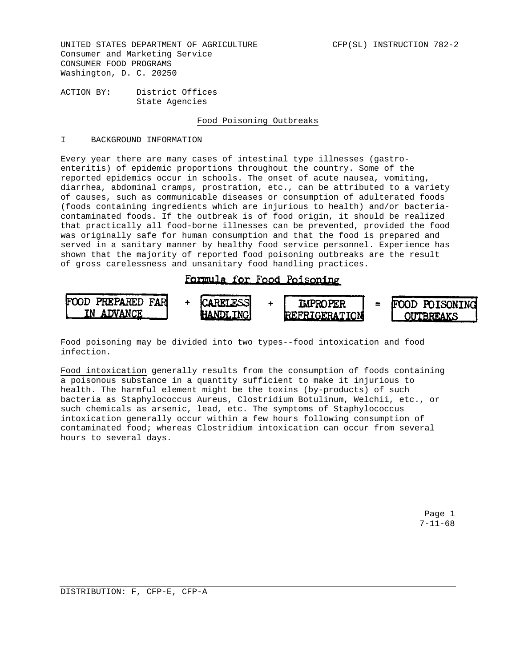UNITED STATES DEPARTMENT OF AGRICULTURE **CEP(SL)** INSTRUCTION 782-2 Consumer and Marketing Service CONSUMER FOOD PROGRAMS Washington, D. C. 20250

ACTION BY: District Offices State Agencies

## Food Poisoning Outbreaks

### I BACKGROUND INFORMATION

Every year there are many cases of intestinal type illnesses (gastroenteritis) of epidemic proportions throughout the country. Some of the reported epidemics occur in schools. The onset of acute nausea, vomiting, diarrhea, abdominal cramps, prostration, etc., can be attributed to a variety of causes, such as communicable diseases or consumption of adulterated foods (foods containing ingredients which are injurious to health) and/or bacteriacontaminated foods. If the outbreak is of food origin, it should be realized that practically all food-borne illnesses can be prevented, provided the food was originally safe for human consumption and that the food is prepared and served in a sanitary manner by healthy food service personnel. Experience has shown that the majority of reported food poisoning outbreaks are the result of gross carelessness and unsanitary food handling practices.

# Formula for Food Poisoning



Food poisoning may be divided into two types--food intoxication and food infection.

Food intoxication generally results from the consumption of foods containing a poisonous substance in a quantity sufficient to make it injurious to health. The harmful element might be the toxins (by-products) of such bacteria as Staphylococcus Aureus, Clostridium Botulinum, Welchii, etc., or such chemicals as arsenic, lead, etc. The symptoms of Staphylococcus intoxication generally occur within a few hours following consumption of contaminated food; whereas Clostridium intoxication can occur from several hours to several days.

> Page 1 7-11-68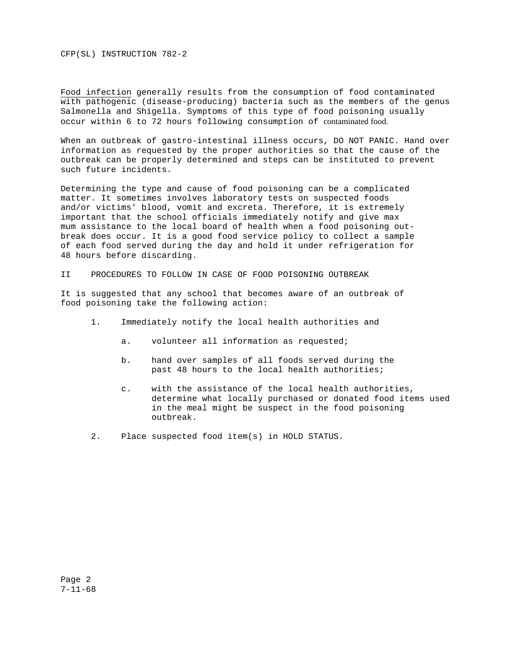CFP(SL) INSTRUCTION 782-2

Food infection generally results from the consumption of food contaminated with pathogenic (disease-producing) bacteria such as the members of the genus Salmonella and Shigella. Symptoms of this type of food poisoning usually occur within 6 to 72 hours following consumption of contaminated food.

When an outbreak of gastro-intestinal illness occurs, DO NOT PANIC. Hand over information as requested by the proper authorities so that the cause of the outbreak can be properly determined and steps can be instituted to prevent such future incidents.

Determining the type and cause of food poisoning can be a complicated matter. It sometimes involves laboratory tests on suspected foods and/or victims' blood, vomit and excreta. Therefore, it is extremely important that the school officials immediately notify and give max mum assistance to the local board of health when a food poisoning outbreak does occur. It is a good food service policy to collect a sample of each food served during the day and hold it under refrigeration for 48 hours before discarding.

II PROCEDURES TO FOLLOW IN CASE OF FOOD POISONING OUTBREAK

It is suggested that any school that becomes aware of an outbreak of food poisoning take the following action:

- 1. Immediately notify the local health authorities and
	- a. volunteer all information as requested;
	- b. hand over samples of all foods served during the past 48 hours to the local health authorities;
	- c. with the assistance of the local health authorities, determine what locally purchased or donated food items used in the meal might be suspect in the food poisoning outbreak.
- 2. Place suspected food item(s) in HOLD STATUS.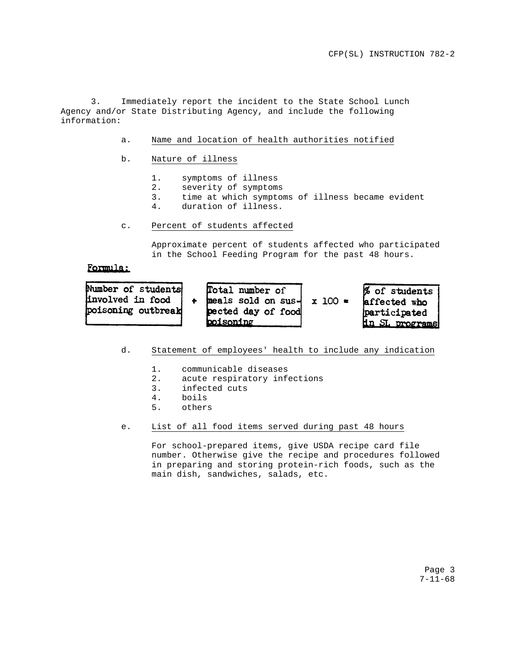3. Immediately report the incident to the State School Lunch Agency and/or State Distributing Agency, and include the following information:

- a. Name and location of health authorities notified
- b. Nature of illness
	- 1. symptoms of illness<br>2. severity of symptom:
	- severity of symptoms
	- 3. time at which symptoms of illness became evident
	- 4. duration of illness.
- c. Percent of students affected

Approximate percent of students affected who participated in the School Feeding Program for the past 48 hours.

## Formula:

| Number of students<br>involved in food<br>poisoning outbreak | Total number of<br>meals sold on sus-<br>pected day of food<br>boisoning | $x 100 =$ | % of students<br>affected who<br>participated<br><u>in SL programs</u> |
|--------------------------------------------------------------|--------------------------------------------------------------------------|-----------|------------------------------------------------------------------------|
|--------------------------------------------------------------|--------------------------------------------------------------------------|-----------|------------------------------------------------------------------------|

- d. Statement of employees' health to include any indication
	-
	- 1. communicable diseases<br>2. acute respiratory infe acute respiratory infections
	- 3. infected cuts
	- 4. boils
	- 5. others
- e. List of all food items served during past 48 hours

For school-prepared items, give USDA recipe card file number. Otherwise give the recipe and procedures followed in preparing and storing protein-rich foods, such as the main dish, sandwiches, salads, etc.

> Page 3 7-11-68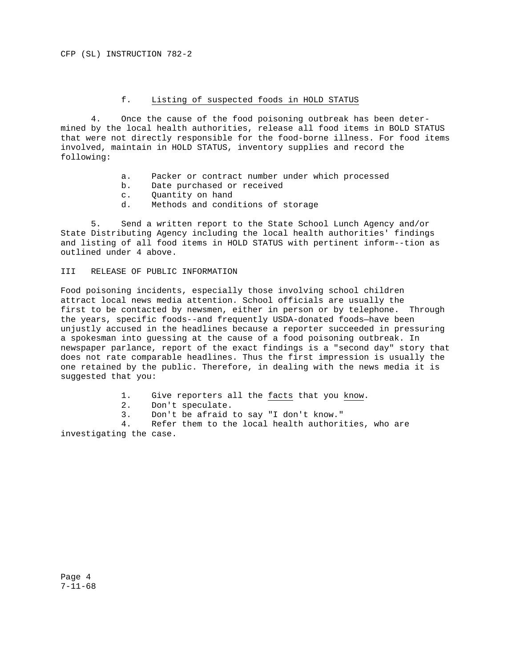#### f. Listing of suspected foods in HOLD STATUS

4. Once the cause of the food poisoning outbreak has been determined by the local health authorities, release all food items in BOLD STATUS that were not directly responsible for the food-borne illness. For food items involved, maintain in HOLD STATUS, inventory supplies and record the following:

- a. Packer or contract number under which processed
- b. Date purchased or received
- c. Quantity on hand
- d. Methods and conditions of storage

5. Send a written report to the State School Lunch Agency and/or State Distributing Agency including the local health authorities' findings and listing of all food items in HOLD STATUS with pertinent inform--tion as outlined under 4 above.

### III RELEASE OF PUBLIC INFORMATION

Food poisoning incidents, especially those involving school children attract local news media attention. School officials are usually the first to be contacted by newsmen, either in person or by telephone. Through the years, specific foods--and frequently USDA-donated foods—have been unjustly accused in the headlines because a reporter succeeded in pressuring a spokesman into guessing at the cause of a food poisoning outbreak. In newspaper parlance, report of the exact findings is a "second day" story that does not rate comparable headlines. Thus the first impression is usually the one retained by the public. Therefore, in dealing with the news media it is suggested that you:

- 1. Give reporters all the facts that you know.
- 2. Don't speculate.
- 3. Don't be afraid to say "I don't know."

4. Refer them to the local health authorities, who are investigating the case.

Page 4 7-11-68